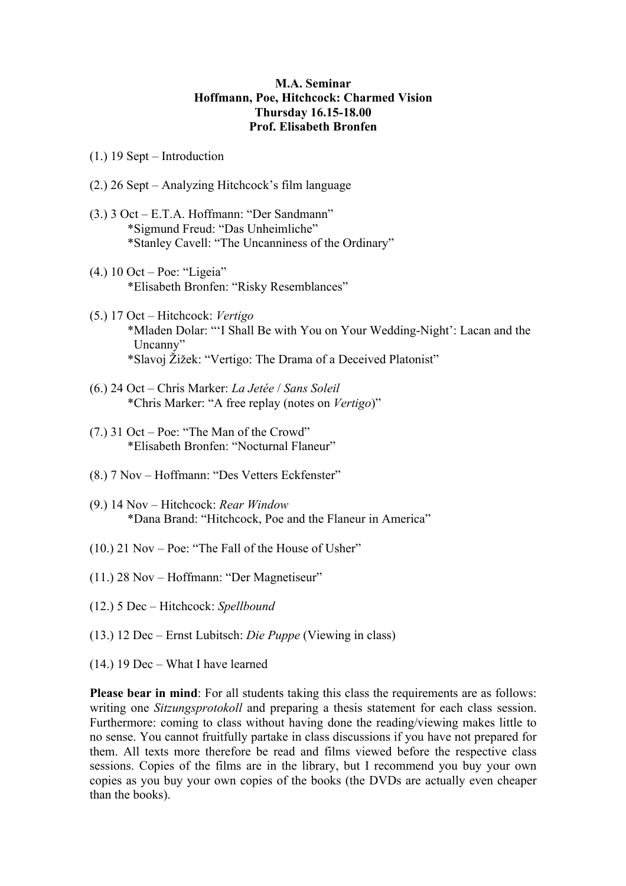## **M.A. Seminar Hoffmann, Poe, Hitchcock: Charmed Vision Thursday 16.15-18.00 Prof. Elisabeth Bronfen**

- (1.) 19 Sept Introduction
- (2.) 26 Sept Analyzing Hitchcock's film language
- (3.) 3 Oct E.T.A. Hoffmann: "Der Sandmann" \*Sigmund Freud: "Das Unheimliche" \*Stanley Cavell: "The Uncanniness of the Ordinary"
- (4.) 10 Oct Poe: "Ligeia" \*Elisabeth Bronfen: "Risky Resemblances"
- (5.) 17 Oct Hitchcock: *Vertigo* \*Mladen Dolar: "'I Shall Be with You on Your Wedding-Night': Lacan and the Uncanny" \*Slavoj Žižek: "Vertigo: The Drama of a Deceived Platonist"
- (6.) 24 Oct Chris Marker: *La Jetée* / *Sans Soleil* \*Chris Marker: "A free replay (notes on *Vertigo*)"
- (7.) 31 Oct Poe: "The Man of the Crowd" \*Elisabeth Bronfen: "Nocturnal Flaneur"
- (8.) 7 Nov Hoffmann: "Des Vetters Eckfenster"
- (9.) 14 Nov Hitchcock: *Rear Window* \*Dana Brand: "Hitchcock, Poe and the Flaneur in America"
- (10.) 21 Nov Poe: "The Fall of the House of Usher"
- (11.) 28 Nov Hoffmann: "Der Magnetiseur"
- (12.) 5 Dec Hitchcock: *Spellbound*
- (13.) 12 Dec Ernst Lubitsch: *Die Puppe* (Viewing in class)
- (14.) 19 Dec What I have learned

**Please bear in mind**: For all students taking this class the requirements are as follows: writing one *Sitzungsprotokoll* and preparing a thesis statement for each class session. Furthermore: coming to class without having done the reading/viewing makes little to no sense. You cannot fruitfully partake in class discussions if you have not prepared for them. All texts more therefore be read and films viewed before the respective class sessions. Copies of the films are in the library, but I recommend you buy your own copies as you buy your own copies of the books (the DVDs are actually even cheaper than the books).